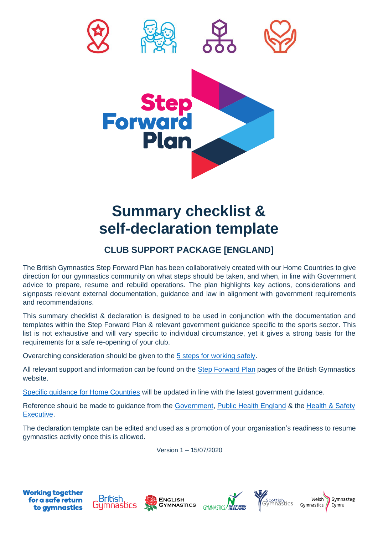

## **Summary checklist & self-declaration template**

## **CLUB SUPPORT PACKAGE [ENGLAND]**

The British Gymnastics Step Forward Plan has been collaboratively created with our Home Countries to give direction for our gymnastics community on what steps should be taken, and when, in line with Government advice to prepare, resume and rebuild operations. The plan highlights key actions, considerations and signposts relevant external documentation, guidance and law in alignment with government requirements and recommendations.

This summary checklist & declaration is designed to be used in conjunction with the documentation and templates within the Step Forward Plan & relevant government guidance specific to the sports sector. This list is not exhaustive and will vary specific to individual circumstance, yet it gives a strong basis for the requirements for a safe re-opening of your club.

Overarching consideration should be given to the [5 steps for working safely.](https://www.gov.uk/guidance/working-safely-during-coronavirus-covid-19/5-steps-to-working-safely)

All relevant support and information can be found on the [Step Forward Plan](https://www.british-gymnastics.org/step-forward) pages of the British Gymnastics website.

[Specific guidance for Home Countries](https://www.british-gymnastics.org/home-country-guidance) will be updated in line with the latest government guidance.

Reference should be made to guidance from the [Government,](https://www.gov.uk/coronavirus) [Public Health England](https://www.gov.uk/government/organisations/public-health-england) & the Health & Safety [Executive.](https://www.hse.gov.uk/coronavirus/index.htm)

The declaration template can be edited and used as a promotion of your organisation's readiness to resume gymnastics activity once this is allowed.

Version 1 – 15/07/2020











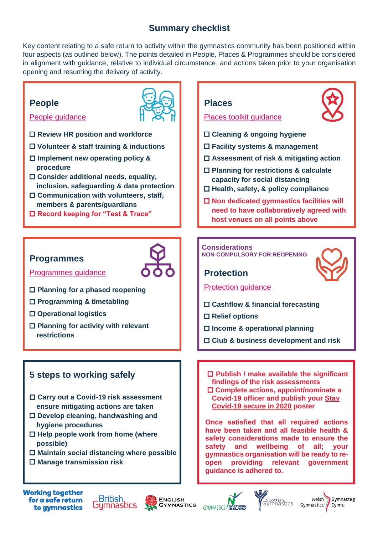## **Summary checklist**

Key content relating to a safe return to activity within the gymnastics community has been positioned within four aspects (as outlined below). The points detailed in People, Places & Programmes should be considered in alignment with guidance, relative to individual circumstance, and actions taken prior to your organisation opening and resuming the delivery of activity.

## **People**



- [People guidance](https://www.british-gymnastics.org/step-forward/people/people-guide)
- **Review HR position and workforce**
- **Volunteer & staff training & inductions**
- **Implement new operating policy & procedure**
- **Consider additional needs, equality, inclusion, safeguarding & data protection**
- **Communication with volunteers, staff, members & parents/guardians**
- **Record keeping for "Test & Trace"**

### **Programmes**



[Programmes guidance](https://www.british-gymnastics.org/step-forward/programmes/introduction)

- **Planning for a phased reopening**
- **Programming & timetabling**
- **Operational logistics**
- **Planning for activity with relevant restrictions**

## **5 steps to working safely**

- **Carry out a Covid-19 risk assessment ensure mitigating actions are taken**
- **Develop cleaning, handwashing and hygiene procedures**
- **Help people work from home (where possible)**
- **Maintain social distancing where possible**
- **Manage transmission risk**

#### **Places**

#### Places [toolkit guidance](https://www.british-gymnastics.org/step-forward/places/toolkit)

- **Cleaning & ongoing hygiene**
- **Facility systems & management**
- **Assessment of risk & mitigating action**
- **Planning for restrictions & calculate capacity for social distancing**
- **Health, safety, & policy compliance**
- **Non dedicated gymnastics facilities will need to have collaboratively agreed with host venues on all points above**

#### **Considerations NON-COMPULSORY FOR REOPENING**

### **Protection**



- [Protection guidance](https://www.british-gymnastics.org/step-forward/protection/introduction)
- **Cashflow & financial forecasting**
- **Relief options**
- **Income & operational planning**
- **Club & business development and risk**
- **Publish / make available the significant findings of the risk assessments Complete actions, appoint/nominate a** 
	- **Covid-19 officer and publish your [Stay](https://assets.publishing.service.gov.uk/media/5eb97d30d3bf7f5d364bfbb6/staying-covid-19-secure-accessible.pdf)  [Covid-19 secure in 2020](https://assets.publishing.service.gov.uk/media/5eb97d30d3bf7f5d364bfbb6/staying-covid-19-secure-accessible.pdf) poster**

**Once satisfied that all required actions have been taken and all feasible health & safety considerations made to ensure the safety and wellbeing of all; your gymnastics organisation will be ready to reopen providing relevant government guidance is adhered to.**

**Working together** for a safe return to gymnastics